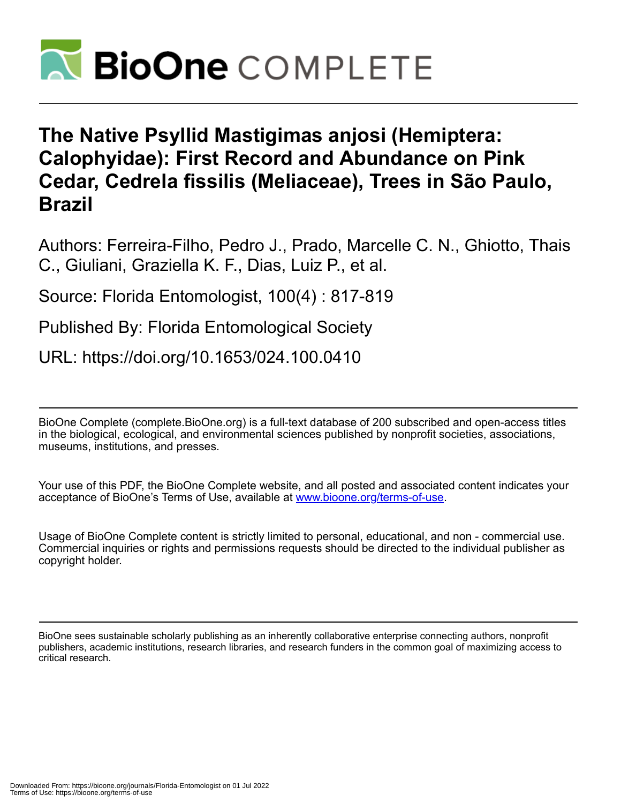

## **The Native Psyllid Mastigimas anjosi (Hemiptera: Calophyidae): First Record and Abundance on Pink Cedar, Cedrela fissilis (Meliaceae), Trees in São Paulo, Brazil**

Authors: Ferreira-Filho, Pedro J., Prado, Marcelle C. N., Ghiotto, Thais C., Giuliani, Graziella K. F., Dias, Luiz P., et al.

Source: Florida Entomologist, 100(4) : 817-819

Published By: Florida Entomological Society

URL: https://doi.org/10.1653/024.100.0410

BioOne Complete (complete.BioOne.org) is a full-text database of 200 subscribed and open-access titles in the biological, ecological, and environmental sciences published by nonprofit societies, associations, museums, institutions, and presses.

Your use of this PDF, the BioOne Complete website, and all posted and associated content indicates your acceptance of BioOne's Terms of Use, available at www.bioone.org/terms-of-use.

Usage of BioOne Complete content is strictly limited to personal, educational, and non - commercial use. Commercial inquiries or rights and permissions requests should be directed to the individual publisher as copyright holder.

BioOne sees sustainable scholarly publishing as an inherently collaborative enterprise connecting authors, nonprofit publishers, academic institutions, research libraries, and research funders in the common goal of maximizing access to critical research.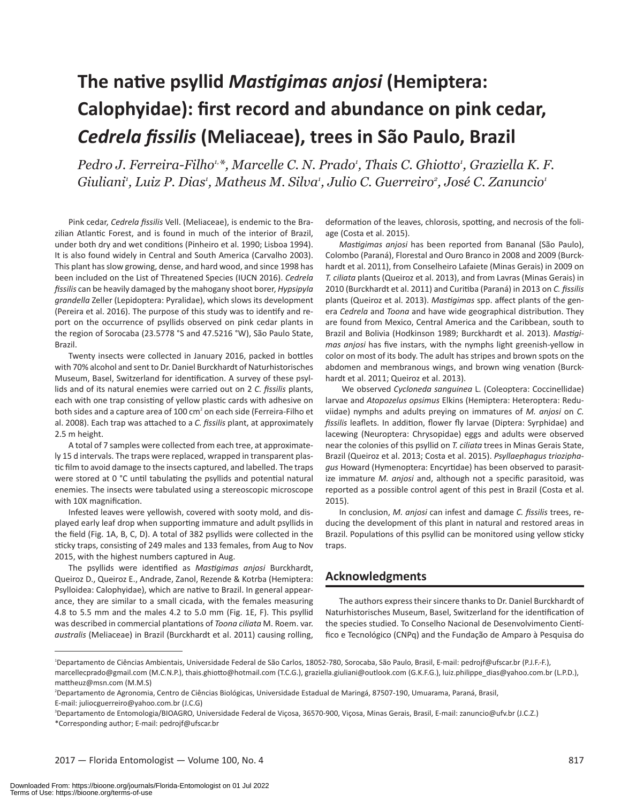# **The native psyllid** *Mastigimas anjosi* **(Hemiptera: Calophyidae): first record and abundance on pink cedar,**  *Cedrela fissilis* **(Meliaceae), trees in São Paulo, Brazil**

Pedro J. Ferreira-Filho<sup>1,</sup>\*, Marcelle C. N. Prado<sup>1</sup>, Thais C. Ghiotto<sup>1</sup>, Graziella K. F. Giuliani<sup>,</sup> Luiz P. Dias<sup>,</sup> Matheus M. Silva<sup>,</sup> Julio C. Guerreiro<sup>2</sup>, José C. Zanuncio<sup>,</sup>

Pink cedar, *Cedrela fissilis* Vell. (Meliaceae), is endemic to the Brazilian Atlantic Forest, and is found in much of the interior of Brazil, under both dry and wet conditions (Pinheiro et al. 1990; Lisboa 1994). It is also found widely in Central and South America (Carvalho 2003). This plant has slow growing, dense, and hard wood, and since 1998 has been included on the List of Threatened Species (IUCN 2016). *Cedrela fissilis* can be heavily damaged by the mahogany shoot borer, *Hypsipyla grandella* Zeller (Lepidoptera: Pyralidae), which slows its development (Pereira et al. 2016). The purpose of this study was to identify and report on the occurrence of psyllids observed on pink cedar plants in the region of Sorocaba (23.5778 °S and 47.5216 °W), São Paulo State, Brazil.

Twenty insects were collected in January 2016, packed in bottles with 70% alcohol and sent to Dr. Daniel Burckhardt of Naturhistorisches Museum, Basel, Switzerland for identification. A survey of these psyllids and of its natural enemies were carried out on 2 *C. fissilis* plants, each with one trap consisting of yellow plastic cards with adhesive on both sides and a capture area of 100 cm<sup>2</sup> on each side (Ferreira-Filho et al. 2008). Each trap was attached to a *C. fissilis* plant, at approximately 2.5 m height.

A total of 7 samples were collected from each tree, at approximately 15 d intervals. The traps were replaced, wrapped in transparent plastic film to avoid damage to the insects captured, and labelled. The traps were stored at 0 °C until tabulating the psyllids and potential natural enemies. The insects were tabulated using a stereoscopic microscope with 10X magnification.

Infested leaves were yellowish, covered with sooty mold, and displayed early leaf drop when supporting immature and adult psyllids in the field (Fig. 1A, B, C, D). A total of 382 psyllids were collected in the sticky traps, consisting of 249 males and 133 females, from Aug to Nov 2015, with the highest numbers captured in Aug.

The psyllids were identified as *Mastigimas anjosi* Burckhardt, Queiroz D., Queiroz E., Andrade, Zanol, Rezende & Kotrba (Hemiptera: Psylloidea: Calophyidae), which are native to Brazil. In general appearance, they are similar to a small cicada, with the females measuring 4.8 to 5.5 mm and the males 4.2 to 5.0 mm (Fig. 1E, F). This psyllid was described in commercial plantations of *Toona ciliata* M. Roem. var. *australis* (Meliaceae) in Brazil (Burckhardt et al. 2011) causing rolling,

deformation of the leaves, chlorosis, spotting, and necrosis of the foliage (Costa et al. 2015).

*Mastigimas anjosi* has been reported from Bananal (São Paulo), Colombo (Paraná), Florestal and Ouro Branco in 2008 and 2009 (Burckhardt et al. 2011), from Conselheiro Lafaiete (Minas Gerais) in 2009 on *T. ciliata* plants (Queiroz et al. 2013), and from Lavras (Minas Gerais) in 2010 (Burckhardt et al. 2011) and Curitiba (Paraná) in 2013 on *C. fissilis* plants (Queiroz et al. 2013). *Mastigimas* spp. affect plants of the genera *Cedrela* and *Toona* and have wide geographical distribution. They are found from Mexico, Central America and the Caribbean, south to Brazil and Bolivia (Hodkinson 1989; Burckhardt et al. 2013). *Mastigimas anjosi* has five instars, with the nymphs light greenish-yellow in color on most of its body. The adult has stripes and brown spots on the abdomen and membranous wings, and brown wing venation (Burckhardt et al. 2011; Queiroz et al. 2013).

 We observed *Cycloneda sanguinea* L. (Coleoptera: Coccinellidae) larvae and *Atopozelus opsimus* Elkins (Hemiptera: Heteroptera: Reduviidae) nymphs and adults preying on immatures of *M. anjosi* on *C. fissilis* leaflets. In addition, flower fly larvae (Diptera: Syrphidae) and lacewing (Neuroptera: Chrysopidae) eggs and adults were observed near the colonies of this psyllid on *T. ciliata* trees in Minas Gerais State, Brazil (Queiroz et al. 2013; Costa et al. 2015). *Psyllaephagus trioziphagus* Howard (Hymenoptera: Encyrtidae) has been observed to parasitize immature *M. anjosi* and, although not a specific parasitoid, was reported as a possible control agent of this pest in Brazil (Costa et al. 2015).

In conclusion, *M. anjosi* can infest and damage *C. fissilis* trees, reducing the development of this plant in natural and restored areas in Brazil. Populations of this psyllid can be monitored using yellow sticky traps.

## **Acknowledgments**

The authors express their sincere thanks to Dr. Daniel Burckhardt of Naturhistorisches Museum, Basel, Switzerland for the identification of the species studied. To Conselho Nacional de Desenvolvimento Científico e Tecnológico (CNPq) and the Fundação de Amparo à Pesquisa do

<sup>1</sup> Departamento de Ciências Ambientais, Universidade Federal de São Carlos, 18052-780, Sorocaba, São Paulo, Brasil, E-mail: pedrojf@ufscar.br (P.J.F.-F.),

marcellecprado@gmail.com (M.C.N.P.), thais.ghiotto@hotmail.com (T.C.G.), graziella.giuliani@outlook.com (G.K.F.G.), luiz.philippe\_dias@yahoo.com.br (L.P.D.), mattheuz@msn.com (M.M.S)

<sup>2</sup> Departamento de Agronomia, Centro de Ciências Biológicas, Universidade Estadual de Maringá, 87507-190, Umuarama, Paraná, Brasil, E-mail: juliocguerreiro@yahoo.com.br (J.C.G)

<sup>3</sup> Departamento de Entomologia/BIOAGRO, Universidade Federal de Viçosa, 36570-900, Viçosa, Minas Gerais, Brasil, E-mail: zanuncio@ufv.br (J.C.Z.) \*Corresponding author; E-mail: pedrojf@ufscar.br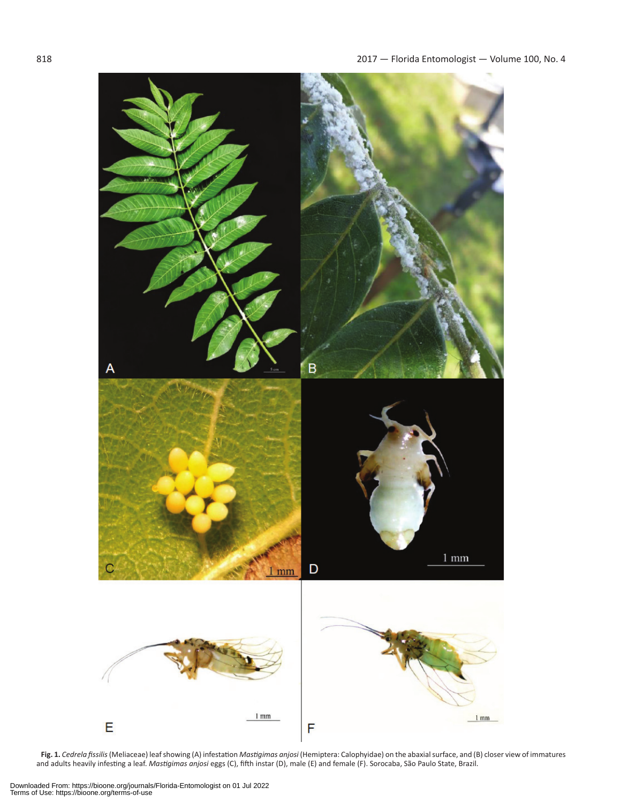

**Fig. 1.** *Cedrela fissilis* (Meliaceae) leaf showing (A) infestation *Mastigimas anjosi* (Hemiptera: Calophyidae) on the abaxial surface, and (B) closer view of immatures and adults heavily infesting a leaf. *Mastigimas anjosi* eggs (C), fifth instar (D), male (E) and female (F). Sorocaba, São Paulo State, Brazil.